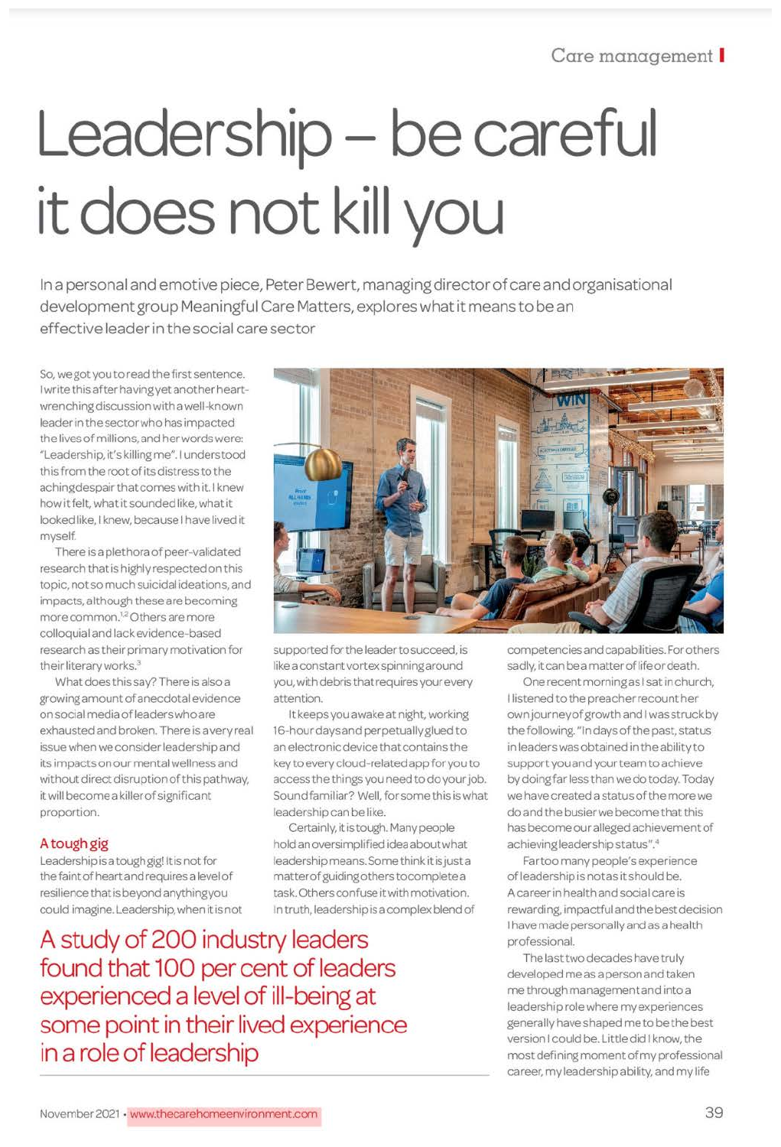# Leadership - be careful it does not kill you

In a personal and emotive piece, Peter Bewert, managing director of care and organisational development group Meaningful Care Matters, explores what it means to be an effective leader in the social care sector

So, we got you to read the first sentence. I write this after having yet another heartwrenching discussion with a well-known leader in the sector who has impacted the lives of millions, and her words were: "Leadership, it's killing me". I understood this from the root of its distress to the aching despair that comes with it. I knew how it felt, what it sounded like, what it looked like, I knew, because I have lived it myself.

There is a plethora of peer-validated research that is highly respected on this topic, not so much suicidal ideations, and impacts, although these are becoming more common.<sup>12</sup> Others are more colloquial and lack evidence-based research as their primary motivation for their literary works.<sup>3</sup>

What does this say? There is also a growing amount of anecdotal evidence on social media of leaders who are exhausted and broken. There is a very real issue when we consider leadership and its impacts on our mental wellness and without direct disruption of this pathway, it will become a killer of significant proportion.

# A tough gig

Leadership is a tough gig! It is not for the faint of heart and requires a level of resilience that is beyond anything you could imagine. Leadership, when it is not

A study of 200 industry leaders found that 100 per cent of leaders experienced a level of ill-being at some point in their lived experience in a role of leadership



supported for the leader to succeed, is like a constant vortex spinning around you, with debris that requires your every attention.

It keeps you awake at night, working 16-hour days and perpetually glued to an electronic device that contains the key to every cloud-related app for you to access the things you need to do your job. Sound familiar? Well, for some this is what leadership can be like.

Certainly, it is tough. Many people hold an oversimplified idea about what leadership means. Some think it is just a matter of guiding others to complete a task. Others confuse it with motivation. In truth, leadership is a complex blend of competencies and capabilities. For others sadly, it can be a matter of life or death.

One recent morning as I sat in church. I listened to the preacher recount her own journey of growth and I was struck by the following. "In days of the past, status in leaders was obtained in the ability to support you and your team to achieve by doing far less than we do today. Today we have created a status of the more we do and the busier we become that this has become our alleged achievement of achieving leadership status".4

Far too many people's experience of leadership is not as it should be. A career in health and social care is rewarding, impactful and the best decision I have made personally and as a health professional.

The last two decades have truly developed me as a person and taken me through management and into a leadership role where my experiences generally have shaped me to be the best version I could be. Little did I know, the most defining moment of my professional career, my leadership ability, and my life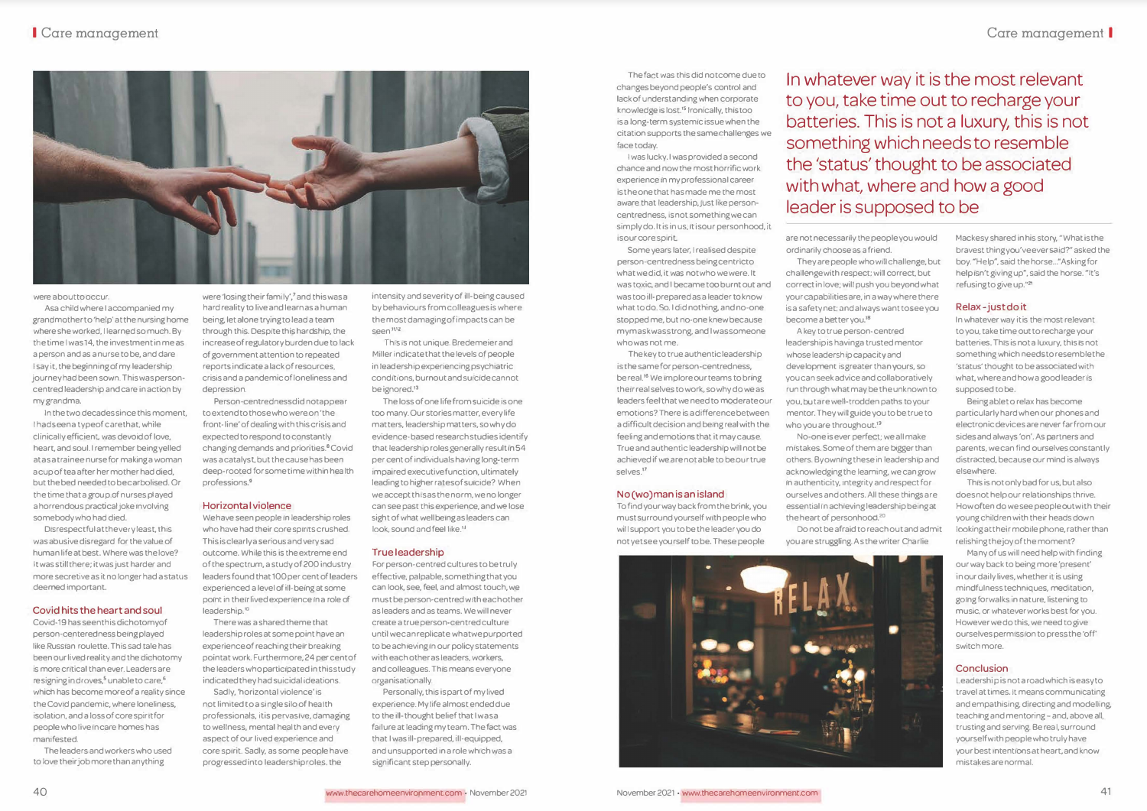

were about to occur.

Asa child where I accompanied my grandmother to 'help' at the nursing home where she worked, I learned so much. By the time I was 14, the investment in me as a person and as a nurse to be, and dare I say it, the beginning of my leadership journey had been sown. This was personcentred leadership and care in action by my grandma.

In the two decades since this moment, I hadseena typeof carethat, while clinically efficient. was devoid of love, heart, and soul. I remember being yelled atas a trainee nurse for making a woman a cup of tea after her mother had died, but the bed needed to becarbolised. Or the time that a group of nurses played a horrendous practical joke involving somebody who had died.

Disrespectful at the very least, this was abusive disregard for the value of human life at best. Where was the love? It was still there; it was just harder and more secretive as it no longer had a status deemed important.

### **Covid hits the heart and soul**

Covid-19has seenthis dichotomyof person-centeredness being played like Russian roulette. This sad tale has been our lived reality and the dichotomy is more cntical than ever. Leaders are resigning in droves,<sup>5</sup> unable to care,<sup>6</sup> which has become more of a reality since the Covid pandemic, where loneliness, isolation, and a loss of core spirit for people who live In care homes has manifested.

The leaders and workers who used to love their job more than anything

were 'losing their family',<sup>7</sup> and this was a hard reality to live and learn as a human being, let alone trying to lead a team through this. Despite this hardship, the increase of regulatory burden due to lack of government attention to repeated reports indicate a lack of resources, crisis and a pandemic of loneliness and depression.

Person-centrednessdid notappear to extend to those who were on 'the front-line' of dealing with this crisis and expected to respond to constantly changing demands and priorities.<sup>8</sup> Covid was a catalyst, but the cause has been deep-rooted for some time within health professions.<sup>9</sup>

#### **Horizontal violence**

We have seen people in leadership roles who have had their core spirits crushed. This is clearly a serious and very sad outcome. While this is the extreme end of the spectrum, a study of200 industry leaders found that 100 per cent of leaders experienced a level of ill-being at some point in their lived experience in a role of leadership. **<sup>0</sup>**

There was a shared theme that leadership roles at some point have an experience of reaching their breaking pointat work. Furthermore, 24 per cent of the leaders who participated in this study indicated they had suicidal ideations.

Sadly, 'horizontal violence' is not limited toa single silo of health professionals, it is pervasive, damaging to wellness, mental heal th and every aspect of our lived experience and core spirit. Sadly, as some people have progressed into leadership roles, the

intensity and severity of ill-being caused by behaviours from colleagues is where the most damaging of impacts can be seen n<sub>12</sub>

This Is not unique. Bredemeier and Miller indicate that the levels of people in leadership experiencing psychiatric conditions, burnout and suicide cannot be ignored.'3

The loss of one life from suicide is one too many. Our stories matter, every life matters, leadership matters, so why do evidence-based research studies identify that leadership roles generally result in 54 per cent of individuals having long-term impaired executive function, ultimately leading to higher rates of suicide? When we accept this as the norm. we no longer can see past this experience, and we lose sight of what wellbeing as leaders can look, sound and feel like.<sup>1.1</sup>

#### **True leadership**

For person-centred cultures to be truly effective, palpable, something that you can look, see, feel, and almost touch, we must be person-centred with each other as leaders and as teams. We will never create a true person-centred culture untilwecanreplicate whatwepurported to be achieving in our policy statements with each other as leaders, workers, and colleagues. This means everyone organisationally.

Personally, this is part of my lived experience. My life almost ended due to the ill-thought belief that Iwasa failure at leading my team. The fact was that I was ill-prepared, ill-equipped, and unsupported in a role which was a significant step personally.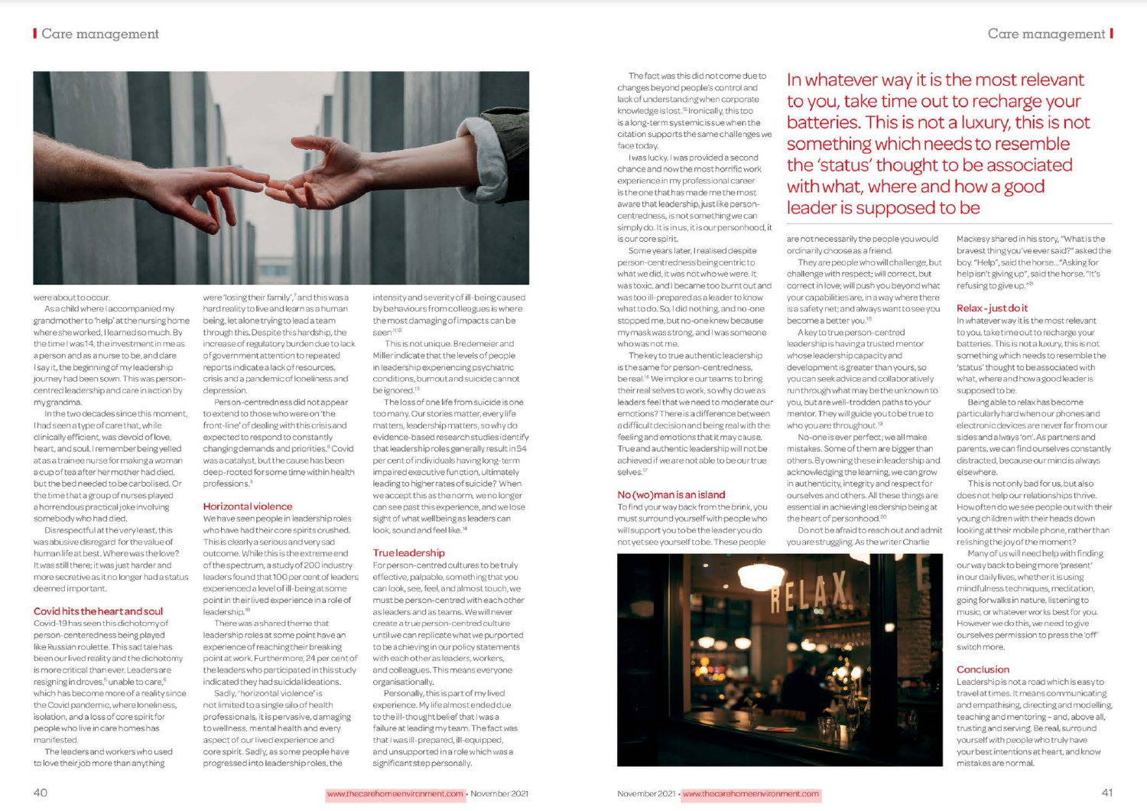The fact was this did not come due to changes beyond people's control and lack of understanding when corporate knowledge is lost.<sup>15</sup> Ironically, this too is a long-term systemic is sue when the citation supports the same challenges we face today.

I was lucky. I was provided a second chance and now the most horrific work experience in my professional career is the one that has made me the most aware that leadership, just like personcentredness, is not something we can simply do. It is in us, it is our personhood, it is our core spirit.

Some years later, I realised despite person-centredness being centricto what we did, it was not who we were. It was toxic, and I became too burnt out and was too ill-prepared as a leader to know what to do. So, I did nothing, and no-one stopped me, but no-one knew because my mask was strong, and I was someone who was not me.

The key to true authentic leadership is the same for person-centredness. be real.<sup>16</sup> We implore our teams to bring their real selves to work, so why do we as leaders feel that we need to moderate our emotions? There is a difference between a difficult decision and being real with the feeling and emotions that it may cause. True and authentic leadership will not be achieved if we are not able to be our true selves.<sup>17</sup>

# No (wo)man is an island

To find your way back from the brink, you must surround yourself with people who will support you to be the leader you do not yet see yourself to be. These people

In whatever way it is the most relevant to you, take time out to recharge your batteries. This is not a luxury, this is not something which needs to resemble the 'status' thought to be associated with what, where and how a good leader is supposed to be

are not necessarily the people you would ordinarily choose as a friend.

They are people who will challenge, but challenge with respect; will correct, but correct in love; will push you beyond what your capabilities are, in a way where there is a safety net; and always want to see you become a better you.<sup>18</sup>

A key to true person-centred leadership is having a trusted mentor whose leadership capacity and development is greater than yours, so you can seek advice and collaboratively run through what may be the unknown to you, but are well-trodden paths to your mentor. They will guide you to be true to who you are throughout.<sup>19</sup>

No-one is ever perfect; we all make mistakes. Some of them are bigger than others. By owning these in leadership and acknowledging the learning, we can grow in authenticity, integrity and respect for ourselves and others. All these things are essential in achieving leadership being at the heart of personhood.<sup>20</sup>

Do not be afraid to reach out and admit you are struggling. As the writer Charlie



Mackesy shared in his story, "What is the bravest thing you've ever said?" asked the boy. "Help", said the horse... "Asking for help isn't giving up", said the horse. "It's refusing to give up."21

# Relax-just do it

In whatever way it is the most relevant to you, take time out to recharge your batteries. This is not a luxury, this is not something which needs to resemble the 'status' thought to be associated with what, where and how a good leader is supposed to be.

Being able to relax has become particularly hard when our phones and electronic devices are never far from our sides and always 'on'. As partners and parents, we can find ourselves constantly distracted, because our mind is always elsewhere.

This is not only bad for us, but also does not help our relationships thrive. How often do we see people out with their young children with their heads down looking at their mobile phone, rather than relishing the joy of the moment?

Many of us will need help with finding our way back to being more 'present' in our daily lives, whether it is using mindfulness techniques, meditation, going for walks in nature, listening to music, or whatever works best for you. However we do this, we need to give ourselves permission to press the 'off' switch more.

# Conclusion

Leadership is not a road which is easy to travel at times. It means communicating and empathising, directing and modelling, teaching and mentoring - and, above all, trusting and serving. Be real, surround yourself with people who truly have your best intentions at heart, and know mistakes are normal.